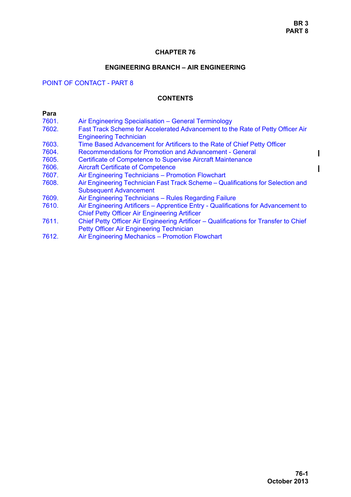## **CHAPTER 76**

## **ENGINEERING BRANCH – AIR ENGINEERING**

# POINT OF CONTACT - PART 8

### **CONTENTS**

| Para  |                                                                                                                                           |
|-------|-------------------------------------------------------------------------------------------------------------------------------------------|
| 7601. | Air Engineering Specialisation - General Terminology                                                                                      |
| 7602. | Fast Track Scheme for Accelerated Advancement to the Rate of Petty Officer Air<br><b>Engineering Technician</b>                           |
| 7603. | Time Based Advancement for Artificers to the Rate of Chief Petty Officer                                                                  |
| 7604. | <b>Recommendations for Promotion and Advancement - General</b>                                                                            |
| 7605. | <b>Certificate of Competence to Supervise Aircraft Maintenance</b>                                                                        |
| 7606. | <b>Aircraft Certificate of Competence</b>                                                                                                 |
| 7607. | Air Engineering Technicians - Promotion Flowchart                                                                                         |
| 7608. | Air Engineering Technician Fast Track Scheme – Qualifications for Selection and<br><b>Subsequent Advancement</b>                          |
| 7609. | Air Engineering Technicians - Rules Regarding Failure                                                                                     |
| 7610. | Air Engineering Artificers - Apprentice Entry - Qualifications for Advancement to<br><b>Chief Petty Officer Air Engineering Artificer</b> |
| 7611. | Chief Petty Officer Air Engineering Artificer – Qualifications for Transfer to Chief<br>Petty Officer Air Engineering Technician          |
| 7612. | Air Engineering Mechanics - Promotion Flowchart                                                                                           |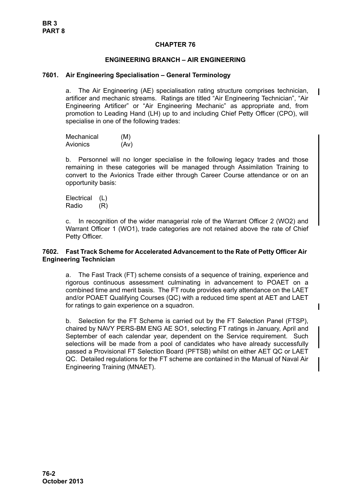## **CHAPTER 76**

### **ENGINEERING BRANCH – AIR ENGINEERING**

#### <span id="page-1-0"></span>**7601. Air Engineering Specialisation – General Terminology**

a. The Air Engineering (AE) specialisation rating structure comprises technician, artificer and mechanic streams. Ratings are titled "Air Engineering Technician", "Air Engineering Artificer" or "Air Engineering Mechanic" as appropriate and, from promotion to Leading Hand (LH) up to and including Chief Petty Officer (CPO), will specialise in one of the following trades:

| Mechanical | (M)  |
|------------|------|
| Avionics   | (Av) |

b. Personnel will no longer specialise in the following legacy trades and those remaining in these categories will be managed through Assimilation Training to convert to the Avionics Trade either through Career Course attendance or on an opportunity basis:

Electrical (L) Radio (R)

c. In recognition of the wider managerial role of the Warrant Officer 2 (WO2) and Warrant Officer 1 (WO1), trade categories are not retained above the rate of Chief Petty Officer.

### <span id="page-1-1"></span>**7602. Fast Track Scheme for Accelerated Advancement to the Rate of Petty Officer Air Engineering Technician**

a. The Fast Track (FT) scheme consists of a sequence of training, experience and rigorous continuous assessment culminating in advancement to POAET on a combined time and merit basis. The FT route provides early attendance on the LAET and/or POAET Qualifying Courses (QC) with a reduced time spent at AET and LAET for ratings to gain experience on a squadron.

b. Selection for the FT Scheme is carried out by the FT Selection Panel (FTSP), chaired by NAVY PERS-BM ENG AE SO1, selecting FT ratings in January, April and September of each calendar year, dependent on the Service requirement. Such selections will be made from a pool of candidates who have already successfully passed a Provisional FT Selection Board (PFTSB) whilst on either AET QC or LAET QC. Detailed regulations for the FT scheme are contained in the Manual of Naval Air Engineering Training (MNAET).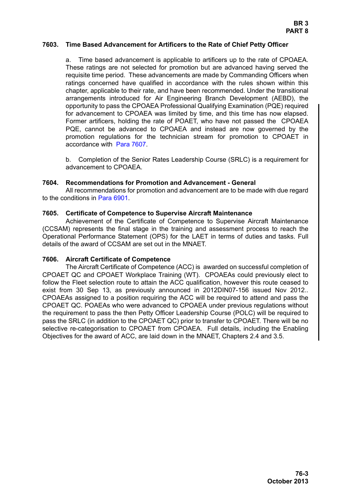#### <span id="page-2-0"></span>**7603. Time Based Advancement for Artificers to the Rate of Chief Petty Officer**

a. Time based advancement is applicable to artificers up to the rate of CPOAEA. These ratings are not selected for promotion but are advanced having served the requisite time period. These advancements are made by Commanding Officers when ratings concerned have qualified in accordance with the rules shown within this chapter, applicable to their rate, and have been recommended. Under the transitional arrangements introduced for Air Engineering Branch Development (AEBD), the opportunity to pass the CPOAEA Professional Qualifying Examination (PQE) required for advancement to CPOAEA was limited by time, and this time has now elapsed. Former artificers, holding the rate of POAET, who have not passed the CPOAEA PQE, cannot be advanced to CPOAEA and instead are now governed by the promotion regulations for the technician stream for promotion to CPOAET in accordance with [Para 7607.](#page-3-0)

b. Completion of the Senior Rates Leadership Course (SRLC) is a requirement for advancement to CPOAEA.

#### <span id="page-2-1"></span>**7604. Recommendations for Promotion and Advancement - General**

All recommendations for promotion and advancement are to be made with due regard to the conditions in Para 6901.

#### <span id="page-2-2"></span>**7605. Certificate of Competence to Supervise Aircraft Maintenance**

Achievement of the Certificate of Competence to Supervise Aircraft Maintenance (CCSAM) represents the final stage in the training and assessment process to reach the Operational Performance Statement (OPS) for the LAET in terms of duties and tasks. Full details of the award of CCSAM are set out in the MNAET.

#### <span id="page-2-3"></span>**7606. Aircraft Certificate of Competence**

The Aircraft Certificate of Competence (ACC) is awarded on successful completion of CPOAET QC and CPOAET Workplace Training (WT). CPOAEAs could previously elect to follow the Fleet selection route to attain the ACC qualification, however this route ceased to exist from 30 Sep 13, as previously announced in 2012DIN07-156 issued Nov 2012.. CPOAEAs assigned to a position requiring the ACC will be required to attend and pass the CPOAET QC. POAEAs who were advanced to CPOAEA under previous regulations without the requirement to pass the then Petty Officer Leadership Course (POLC) will be required to pass the SRLC (in addition to the CPOAET QC) prior to transfer to CPOAET. There will be no selective re-categorisation to CPOAET from CPOAEA. Full details, including the Enabling Objectives for the award of ACC, are laid down in the MNAET, Chapters 2.4 and 3.5.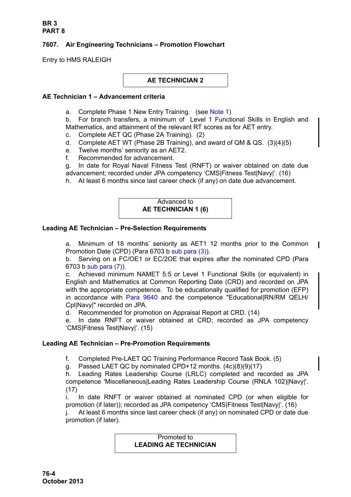# <span id="page-3-0"></span>**7607. Air Engineering Technicians – Promotion Flowchart**

Entry to HMS RALEIGH

**AE TECHNICIAN 2**

## **AE Technician 1 – Advancement criteria**

a. Complete Phase 1 New Entry Training. (see [Note 1\)](#page-5-0)

b. For branch transfers, a minimum of Level 1 Functional Skills in English and Mathematics, and attainment of the relevant RT scores as for AET entry.

- c. Complete AET QC (Phase 2A Training). (2)
- d. Complete AET WT (Phase 2B Training), and award of QM & QS. (3)(4)(5)
- e. Twelve months' seniority as an AET2.
- f. Recommended for advancement.

g. In date for Royal Naval Fitness Test (RNFT) or waiver obtained on date due advancement; recorded under JPA competency 'CMS|Fitness Test|Navy|'. (16)

h. At least 6 months since last career check (if any) on date due advancement.

# Advanced to **AE TECHNICIAN 1 (6)**

# **Leading AE Technician – Pre-Selection Requirements**

a. Minimum of 18 months' seniority as AET1 12 months prior to the Common Promotion Date (CPD) (Para 6703 b sub para (3)).

b. Serving on a FC/OE1 or EC/2OE that expires after the nominated CPD (Para 6703 b sub para (7)).

c. Achieved minimum NAMET 5:5 or Level 1 Functional Skills (or equivalent) in English and Mathematics at Common Reporting Date (CRD) and recorded on JPA with the appropriate competence. To be educationally qualified for promotion (EFP) in accordance with [Para 9640](#page-34-0) and the competence "Educational|RN/RM QELH/ Cpl|Navy|" recorded on JPA.

d. Recommended for promotion on Appraisal Report at CRD. (14)

e. In date RNFT or waiver obtained at CRD; recorded as JPA competency 'CMS|Fitness Test|Navy|'. (15)

# **Leading AE Technician – Pre-Promotion Requirements**

f. Completed Pre-LAET QC Training Performance Record Task Book. (5)

g. Passed LAET QC by nominated CPD+12 months. (4c)(8)(9)(17)

h. Leading Rates Leadership Course (LRLC) completed and recorded as JPA competence 'Miscellaneous|Leading Rates Leadership Course (RNLA 102)|Navy|'. (17)

i. In date RNFT or waiver obtained at nominated CPD (or when eligible for promotion (if later)); recorded as JPA competency 'CMS|Fitness Test|Navy|'. (16)

j. At least 6 months since last career check (if any) on nominated CPD or date due promotion (if later).

#### Promoted to **LEADING AE TECHNICIAN**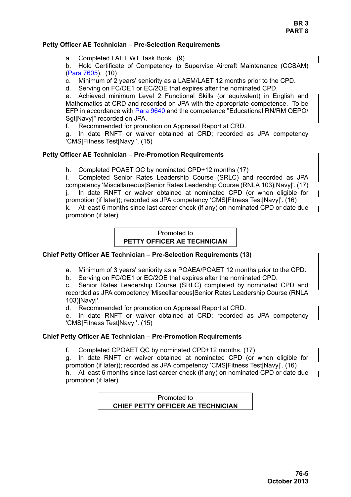# **Petty Officer AE Technician – Pre-Selection Requirements**

a. Completed LAET WT Task Book. (9)

b. Hold Certificate of Competency to Supervise Aircraft Maintenance (CCSAM) [\(Para 7605\)](#page-2-2). (10)

c. Minimum of 2 years' seniority as a LAEM/LAET 12 months prior to the CPD.

d. Serving on FC/OE1 or EC/2OE that expires after the nominated CPD.

e. Achieved minimum Level 2 Functional Skills (or equivalent) in English and Mathematics at CRD and recorded on JPA with the appropriate competence. To be EFP in accordance with [Para 9640](#page-34-0) and the competence "Educational|RN/RM QEPO/ Sgt|Navy|" recorded on JPA.

f. Recommended for promotion on Appraisal Report at CRD.

g. In date RNFT or waiver obtained at CRD; recorded as JPA competency 'CMS|Fitness Test|Navy|'. (15)

#### **Petty Officer AE Technician – Pre-Promotion Requirements**

h. Completed POAET QC by nominated CPD+12 months (17)

i. Completed Senior Rates Leadership Course (SRLC) and recorded as JPA competency 'Miscellaneous|Senior Rates Leadership Course (RNLA 103)|Navy|'. (17) j. In date RNFT or waiver obtained at nominated CPD (or when eligible for promotion (if later)); recorded as JPA competency 'CMS|Fitness Test|Navy|'. (16)

k. At least 6 months since last career check (if any) on nominated CPD or date due promotion (if later).

# Promoted to **PETTY OFFICER AE TECHNICIAN**

#### **Chief Petty Officer AE Technician – Pre-Selection Requirements (13)**

a. Minimum of 3 years' seniority as a POAEA/POAET 12 months prior to the CPD.

b. Serving on FC/OE1 or EC/2OE that expires after the nominated CPD.

c. Senior Rates Leadership Course (SRLC) completed by nominated CPD and recorded as JPA competency 'Miscellaneous|Senior Rates Leadership Course (RNLA 103)|Navy|'.

d. Recommended for promotion on Appraisal Report at CRD.

e. In date RNFT or waiver obtained at CRD; recorded as JPA competency 'CMS|Fitness Test|Navy|'. (15)

#### **Chief Petty Officer AE Technician – Pre-Promotion Requirements**

f. Completed CPOAET QC by nominated CPD+12 months. (17)

g. In date RNFT or waiver obtained at nominated CPD (or when eligible for promotion (if later)); recorded as JPA competency 'CMS|Fitness Test|Navy|'. (16)

h. At least 6 months since last career check (if any) on nominated CPD or date due promotion (if later).

> Promoted to **CHIEF PETTY OFFICER AE TECHNICIAN**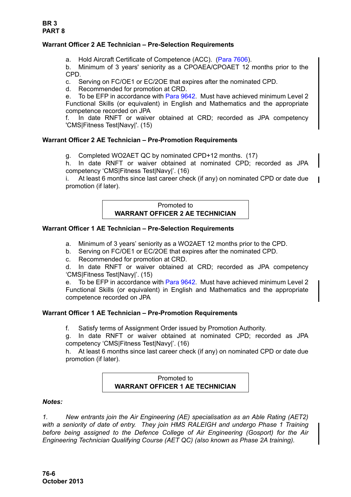# **Warrant Officer 2 AE Technician – Pre-Selection Requirements**

a. Hold Aircraft Certificate of Competence (ACC). ([Para 7606\)](#page-2-3).

b. Minimum of 3 years' seniority as a CPOAEA/CPOAET 12 months prior to the CPD.

c. Serving on FC/OE1 or EC/2OE that expires after the nominated CPD.

d. Recommended for promotion at CRD.

e. To be EFP in accordance with [Para 9642.](#page-35-0) Must have achieved minimum Level 2 Functional Skills (or equivalent) in English and Mathematics and the appropriate competence recorded on JPA

f. In date RNFT or waiver obtained at CRD; recorded as JPA competency 'CMS|Fitness Test|Navy|'. (15)

# **Warrant Officer 2 AE Technician – Pre-Promotion Requirements**

g. Completed WO2AET QC by nominated CPD+12 months. (17)

h. In date RNFT or waiver obtained at nominated CPD; recorded as JPA competency 'CMS|Fitness Test|Navy|'. (16)

i. At least 6 months since last career check (if any) on nominated CPD or date due promotion (if later).

# Promoted to **WARRANT OFFICER 2 AE TECHNICIAN**

### **Warrant Officer 1 AE Technician – Pre-Selection Requirements**

a. Minimum of 3 years' seniority as a WO2AET 12 months prior to the CPD.

- b. Serving on FC/OE1 or EC/2OE that expires after the nominated CPD.
- c. Recommended for promotion at CRD.

d. In date RNFT or waiver obtained at CRD; recorded as JPA competency 'CMS|Fitness Test|Navy|'. (15)

e. To be EFP in accordance with [Para 9642.](#page-35-0) Must have achieved minimum Level 2 Functional Skills (or equivalent) in English and Mathematics and the appropriate competence recorded on JPA

# **Warrant Officer 1 AE Technician – Pre-Promotion Requirements**

f. Satisfy terms of Assignment Order issued by Promotion Authority.

g. In date RNFT or waiver obtained at nominated CPD; recorded as JPA competency 'CMS|Fitness Test|Navy|'. (16)

h. At least 6 months since last career check (if any) on nominated CPD or date due promotion (if later).

### Promoted to **WARRANT OFFICER 1 AE TECHNICIAN**

#### *Notes:*

<span id="page-5-0"></span>*1. New entrants join the Air Engineering (AE) specialisation as an Able Rating (AET2) with a seniority of date of entry. They join HMS RALEIGH and undergo Phase 1 Training before being assigned to the Defence College of Air Engineering (Gosport) for the Air Engineering Technician Qualifying Course (AET QC) (also known as Phase 2A training).*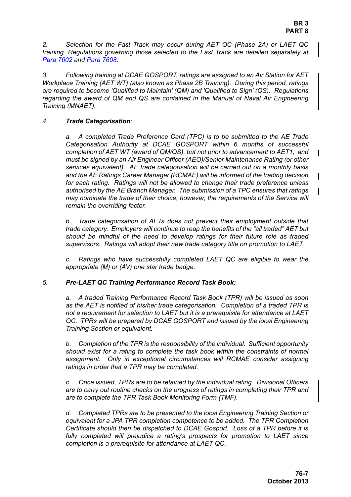*2. Selection for the Fast Track may occur during AET QC (Phase 2A) or LAET QC training. Regulations governing those selected to the Fast Track are detailed separately at [Para 7602](#page-1-1) and [Para 7608.](#page-8-0)*

*3. Following training at DCAE GOSPORT, ratings are assigned to an Air Station for AET Workplace Training (AET WT) (also known as Phase 2B Training). During this period, ratings are required to become 'Qualified to Maintain' (QM) and 'Qualified to Sign' (QS). Regulations regarding the award of QM and QS are contained in the Manual of Naval Air Engineering Training (MNAET).* 

## *4. Trade Categorisation:*

*a. A completed Trade Preference Card (TPC) is to be submitted to the AE Trade Categorisation Authority at DCAE GOSPORT within 6 months of successful completion of AET WT (award of QM/QS), but not prior to advancement to AET1, and must be signed by an Air Engineer Officer (AEO)/Senior Maintenance Rating (or other services equivalent). AE trade categorisation will be carried out on a monthly basis and the AE Ratings Career Manager (RCMAE) will be informed of the trading decision for each rating. Ratings will not be allowed to change their trade preference unless authorised by the AE Branch Manager. The submission of a TPC ensures that ratings may nominate the trade of their choice, however, the requirements of the Service will remain the overriding factor.*

*b. Trade categorisation of AETs does not prevent their employment outside that trade category. Employers will continue to reap the benefits of the "all traded" AET but should be mindful of the need to develop ratings for their future role as traded supervisors. Ratings will adopt their new trade category title on promotion to LAET.*

*c. Ratings who have successfully completed LAET QC are eligible to wear the appropriate (M) or (AV) one star trade badge.*

# *5. Pre-LAET QC Training Performance Record Task Book:*

*a. A traded Training Performance Record Task Book (TPR) will be issued as soon as the AET is notified of his/her trade categorisation. Completion of a traded TPR is not a requirement for selection to LAET but it is a prerequisite for attendance at LAET QC. TPRs will be prepared by DCAE GOSPORT and issued by the local Engineering Training Section or equivalent.*

*b. Completion of the TPR is the responsibility of the individual. Sufficient opportunity should exist for a rating to complete the task book within the constraints of normal assignment. Only in exceptional circumstances will RCMAE consider assigning ratings in order that a TPR may be completed.*

*c. Once issued, TPRs are to be retained by the individual rating. Divisional Officers are to carry out routine checks on the progress of ratings in completing their TPR and are to complete the TPR Task Book Monitoring Form (TMF).*

*d. Completed TPRs are to be presented to the local Engineering Training Section or equivalent for a JPA TPR completion competence to be added. The TPR Completion Certificate should then be dispatched to DCAE Gosport. Loss of a TPR before it is fully completed will prejudice a rating's prospects for promotion to LAET since completion is a prerequisite for attendance at LAET QC.*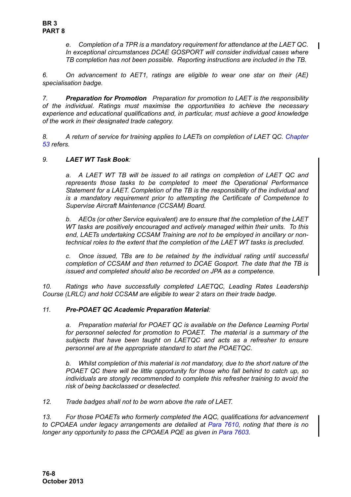*e. Completion of a TPR is a mandatory requirement for attendance at the LAET QC. In exceptional circumstances DCAE GOSPORT will consider individual cases where TB completion has not been possible. Reporting instructions are included in the TB.*

*6. On advancement to AET1, ratings are eligible to wear one star on their (AE) specialisation badge.*

*7. Preparation for Promotion Preparation for promotion to LAET is the responsibility of the individual. Ratings must maximise the opportunities to achieve the necessary experience and educational qualifications and, in particular, must achieve a good knowledge of the work in their designated trade category.* 

*8. A return of service for training applies to LAETs on completion of LAET QC. Chapter 53 refers.* 

# *9. LAET WT Task Book:*

*a. A LAET WT TB will be issued to all ratings on completion of LAET QC and represents those tasks to be completed to meet the Operational Performance Statement for a LAET. Completion of the TB is the responsibility of the individual and is a mandatory requirement prior to attempting the Certificate of Competence to Supervise Aircraft Maintenance (CCSAM) Board.* 

*b. AEOs (or other Service equivalent) are to ensure that the completion of the LAET WT tasks are positively encouraged and actively managed within their units. To this end, LAETs undertaking CCSAM Training are not to be employed in ancillary or nontechnical roles to the extent that the completion of the LAET WT tasks is precluded.*

*c. Once issued, TBs are to be retained by the individual rating until successful completion of CCSAM and then returned to DCAE Gosport. The date that the TB is issued and completed should also be recorded on JPA as a competence.*

*10. Ratings who have successfully completed LAETQC, Leading Rates Leadership Course (LRLC) and hold CCSAM are eligible to wear 2 stars on their trade badge.*

#### *11. Pre-POAET QC Academic Preparation Material:*

*a. Preparation material for POAET QC is available on the Defence Learning Portal for personnel selected for promotion to POAET. The material is a summary of the subjects that have been taught on LAETQC and acts as a refresher to ensure personnel are at the appropriate standard to start the POAETQC.* 

*b. Whilst completion of this material is not mandatory, due to the short nature of the POAET QC there will be little opportunity for those who fall behind to catch up, so individuals are stongly recommended to complete this refresher training to avoid the risk of being backclassed or deselected.* 

*12. Trade badges shall not to be worn above the rate of LAET.*

*13. For those POAETs who formerly completed the AQC, qualifications for advancement to CPOAEA under legacy arrangements are detailed at [Para 7610,](#page-10-2) noting that there is no longer any opportunity to pass the CPOAEA PQE as given in [Para 7603.](#page-2-0)*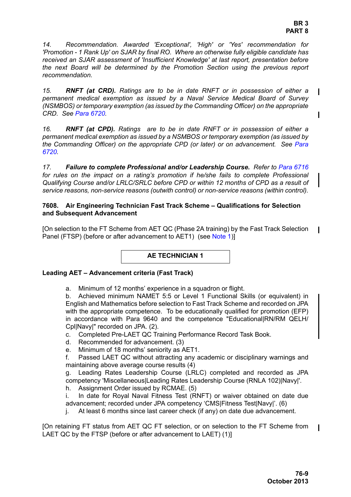*14. Recommendation. Awarded 'Exceptional', 'High' or 'Yes' recommendation for 'Promotion - 1 Rank Up' on SJAR by final RO. Where an otherwise fully eligible candidate has received an SJAR assessment of 'Insufficient Knowledge' at last report, presentation before the next Board will be determined by the Promotion Section using the previous report recommendation.* 

*15. RNFT (at CRD). Ratings are to be in date RNFT or in possession of either a permanent medical exemption as issued by a Naval Service Medical Board of Survey (NSMBOS) or temporary exemption (as issued by the Commanding Officer) on the appropriate CRD. See Para 6720.*

*16. RNFT (at CPD). Ratings are to be in date RNFT or in possession of either a permanent medical exemption as issued by a NSMBOS or temporary exemption (as issued by the Commanding Officer) on the appropriate CPD (or later) or on advancement. See Para 6720.*

*17. Failure to complete Professional and/or Leadership Course. Refer to Para 6716 for rules on the impact on a rating's promotion if he/she fails to complete Professional Qualifying Course and/or LRLC/SRLC before CPD or within 12 months of CPD as a result of service reasons, non-service reasons (outwith control) or non-service reasons (within control).*

### <span id="page-8-0"></span>**7608. Air Engineering Technician Fast Track Scheme – Qualifications for Selection and Subsequent Advancement**

[On selection to the FT Scheme from AET QC (Phase 2A training) by the Fast Track Selection Panel (FTSP) (before or after advancement to AET1) (see [Note 1](#page-9-0))]

**AE TECHNICIAN 1**

# **Leading AET – Advancement criteria (Fast Track)**

a. Minimum of 12 months' experience in a squadron or flight.

b. Achieved minimum NAMET 5:5 or Level 1 Functional Skills (or equivalent) in English and Mathematics before selection to Fast Track Scheme and recorded on JPA with the appropriate competence. To be educationally qualified for promotion (EFP) in accordance with Para 9640 and the competence "Educational|RN/RM QELH/ Cpl|Navy|" recorded on JPA. (2).

- c. Completed Pre-LAET QC Training Performance Record Task Book.
- d. Recommended for advancement. (3)
- e. Minimum of 18 months' seniority as AET1.

f. Passed LAET QC without attracting any academic or disciplinary warnings and maintaining above average course results (4)

g. Leading Rates Leadership Course (LRLC) completed and recorded as JPA competency 'Miscellaneous|Leading Rates Leadership Course (RNLA 102)|Navy|'.

h. Assignment Order issued by RCMAE. (5)

i. In date for Royal Naval Fitness Test (RNFT) or waiver obtained on date due advancement; recorded under JPA competency 'CMS|Fitness Test|Navy|'. (6)

j. At least 6 months since last career check (if any) on date due advancement.

[On retaining FT status from AET QC FT selection, or on selection to the FT Scheme from LAET QC by the FTSP (before or after advancement to LAET) (1)]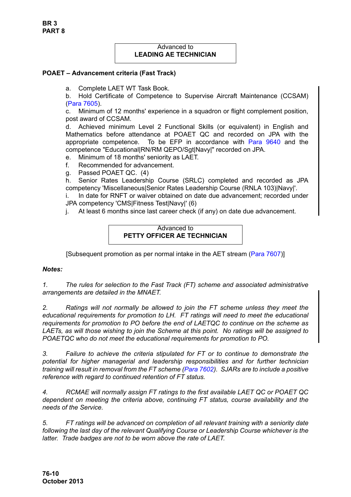### Advanced to **LEADING AE TECHNICIAN**

### **POAET – Advancement criteria (Fast Track)**

a. Complete LAET WT Task Book.

b. Hold Certificate of Competence to Supervise Aircraft Maintenance (CCSAM) [\(Para 7605\)](#page-2-2).

c. Minimum of 12 months' experience in a squadron or flight complement position, post award of CCSAM.

d. Achieved minimum Level 2 Functional Skills (or equivalent) in English and Mathematics before attendance at POAET QC and recorded on JPA with the appropriate competence. To be EFP in accordance with [Para 9640](#page-34-0) and the competence "Educational|RN/RM QEPO/Sgt|Navy|" recorded on JPA.

e. Minimum of 18 months' seniority as LAET.

f. Recommended for advancement.

g. Passed POAET QC. (4)

h. Senior Rates Leadership Course (SRLC) completed and recorded as JPA competency 'Miscellaneous|Senior Rates Leadership Course (RNLA 103)|Navy|'.

i. In date for RNFT or waiver obtained on date due advancement; recorded under JPA competency 'CMS|Fitness Test|Navy|' (6)

j. At least 6 months since last career check (if any) on date due advancement.

# Advanced to **PETTY OFFICER AE TECHNICIAN**

[Subsequent promotion as per normal intake in the AET stream ([Para 7607](#page-3-0))]

#### *Notes:*

<span id="page-9-0"></span>*1. The rules for selection to the Fast Track (FT) scheme and associated administrative arrangements are detailed in the MNAET.*

*2. Ratings will not normally be allowed to join the FT scheme unless they meet the educational requirements for promotion to LH. FT ratings will need to meet the educational requirements for promotion to PO before the end of LAETQC to continue on the scheme as LAETs, as will those wishing to join the Scheme at this point. No ratings will be assigned to POAETQC who do not meet the educational requirements for promotion to PO.* 

*3. Failure to achieve the criteria stipulated for FT or to continue to demonstrate the potential for higher managerial and leadership responsibilities and for further technician training will result in removal from the FT scheme ([Para 7602\)](#page-1-1). SJARs are to include a positive reference with regard to continued retention of FT status.* 

*4. RCMAE will normally assign FT ratings to the first available LAET QC or POAET QC dependent on meeting the criteria above, continuing FT status, course availability and the needs of the Service.*

*5. FT ratings will be advanced on completion of all relevant training with a seniority date following the last day of the relevant Qualifying Course or Leadership Course whichever is the latter. Trade badges are not to be worn above the rate of LAET.*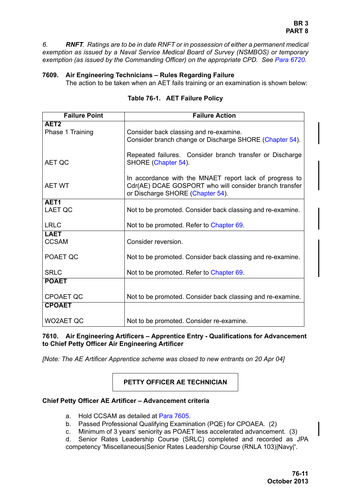<span id="page-10-1"></span>*6. RNFT. Ratings are to be in date RNFT or in possession of either a permanent medical exemption as issued by a Naval Service Medical Board of Survey (NSMBOS) or temporary exemption (as issued by the Commanding Officer) on the appropriate CPD. See Para 6720.*

# <span id="page-10-0"></span>**7609. Air Engineering Technicians – Rules Regarding Failure**

The action to be taken when an AET fails training or an examination is shown below:

| <b>Failure Point</b> | <b>Failure Action</b>                                      |
|----------------------|------------------------------------------------------------|
| AET <sub>2</sub>     |                                                            |
| Phase 1 Training     | Consider back classing and re-examine.                     |
|                      | Consider branch change or Discharge SHORE (Chapter 54).    |
|                      | Repeated failures. Consider branch transfer or Discharge   |
| AET QC               | SHORE (Chapter 54).                                        |
|                      |                                                            |
|                      | In accordance with the MNAET report lack of progress to    |
| <b>AET WT</b>        | Cdr(AE) DCAE GOSPORT who will consider branch transfer     |
| AET1                 | or Discharge SHORE (Chapter 54).                           |
| <b>LAET QC</b>       | Not to be promoted. Consider back classing and re-examine. |
|                      |                                                            |
| <b>LRLC</b>          | Not to be promoted. Refer to Chapter 69.                   |
| <b>LAET</b>          |                                                            |
| <b>CCSAM</b>         | Consider reversion.                                        |
| POAET QC             | Not to be promoted. Consider back classing and re-examine. |
|                      |                                                            |
| <b>SRLC</b>          | Not to be promoted. Refer to Chapter 69.                   |
| <b>POAET</b>         |                                                            |
|                      |                                                            |
| <b>CPOAET QC</b>     | Not to be promoted. Consider back classing and re-examine. |
| <b>CPOAET</b>        |                                                            |
| <b>WO2AET QC</b>     | Not to be promoted. Consider re-examine.                   |
|                      |                                                            |

# **Table 76-1. AET Failure Policy**

<span id="page-10-2"></span>**7610. Air Engineering Artificers – Apprentice Entry - Qualifications for Advancement to Chief Petty Officer Air Engineering Artificer**

*[Note: The AE Artificer Apprentice scheme was closed to new entrants on 20 Apr 04]*

**PETTY OFFICER AE TECHNICIAN**

# **Chief Petty Officer AE Artificer – Advancement criteria**

- a. Hold CCSAM as detailed at [Para 7605](#page-2-2).
- b. Passed Professional Qualifying Examination (PQE) for CPOAEA. (2)
- c. Minimum of 3 years' seniority as POAET less accelerated advancement. (3)

d. Senior Rates Leadership Course (SRLC) completed and recorded as JPA competency 'Miscellaneous|Senior Rates Leadership Course (RNLA 103)|Navy|'.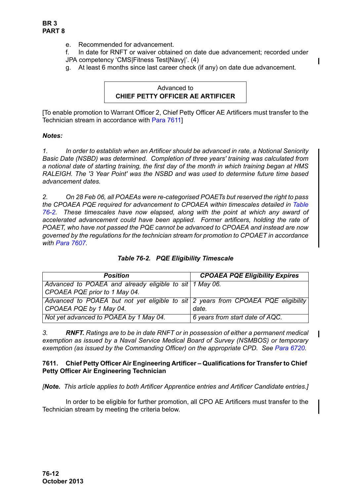- e. Recommended for advancement.
- f. In date for RNFT or waiver obtained on date due advancement; recorded under JPA competency 'CMS|Fitness Test|Navy|'. (4)
- g. At least 6 months since last career check (if any) on date due advancement.

### Advanced to **CHIEF PETTY OFFICER AE ARTIFICER**

[To enable promotion to Warrant Officer 2, Chief Petty Officer AE Artificers must transfer to the Technician stream in accordance with [Para 7611](#page-11-0)]

### *Notes:*

*1. In order to establish when an Artificer should be advanced in rate, a Notional Seniority Basic Date (NSBD) was determined. Completion of three years' training was calculated from a notional date of starting training, the first day of the month in which training began at HMS RALEIGH. The '3 Year Point' was the NSBD and was used to determine future time based advancement dates.*

*2. On 28 Feb 06, all POAEAs were re-categorised POAETs but reserved the right to pass the CPOAEA PQE required for advancement to CPOAEA within timescales detailed in [Table](#page-11-1) [76-2.](#page-11-1) These timescales have now elapsed, along with the point at which any award of accelerated advancement could have been applied. Former artificers, holding the rate of POAET, who have not passed the PQE cannot be advanced to CPOAEA and instead are now governed by the regulations for the technician stream for promotion to CPOAET in accordance with [Para 7607](#page-3-0).*

<span id="page-11-1"></span>

| <b>Position</b>                                                                   | <b>CPOAEA PQE Eligibility Expires</b> |
|-----------------------------------------------------------------------------------|---------------------------------------|
| Advanced to POAEA and already eligible to sit 1 May 06.                           |                                       |
| CPOAEA PQE prior to 1 May 04.                                                     |                                       |
| Advanced to POAEA but not yet eligible to sit 2 years from CPOAEA PQE eligibility |                                       |
| CPOAEA PQE by 1 May 04.                                                           | date.                                 |
| Not yet advanced to POAEA by 1 May 04.                                            | 6 years from start date of AQC.       |

# *Table 76-2. PQE Eligibility Timescale*

*3. RNFT. Ratings are to be in date RNFT or in possession of either a permanent medical exemption as issued by a Naval Service Medical Board of Survey (NSMBOS) or temporary exemption (as issued by the Commanding Officer) on the appropriate CPD. See Para 6720.*

### <span id="page-11-0"></span>**7611. Chief Petty Officer Air Engineering Artificer – Qualifications for Transfer to Chief Petty Officer Air Engineering Technician**

*[Note. This article applies to both Artificer Apprentice entries and Artificer Candidate entries.]*

In order to be eligible for further promotion, all CPO AE Artificers must transfer to the Technician stream by meeting the criteria below.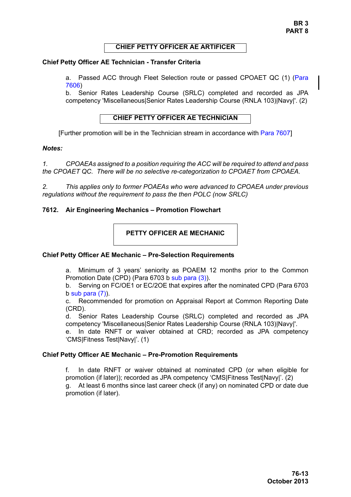### **CHIEF PETTY OFFICER AE ARTIFICER**

### **Chief Petty Officer AE Technician - Transfer Criteria**

a. Passed ACC through Fleet Selection route or passed CPOAET QC (1) [\(Para](#page-2-3) [7606\)](#page-2-3)

b. Senior Rates Leadership Course (SRLC) completed and recorded as JPA competency 'Miscellaneous|Senior Rates Leadership Course (RNLA 103)|Navy|'. (2)

# **CHIEF PETTY OFFICER AE TECHNICIAN**

[Further promotion will be in the Technician stream in accordance with [Para 7607\]](#page-3-0)

#### *Notes:*

*1. CPOAEAs assigned to a position requiring the ACC will be required to attend and pass the CPOAET QC. There will be no selective re-categorization to CPOAET from CPOAEA.*

*2. This applies only to former POAEAs who were advanced to CPOAEA under previous regulations without the requirement to pass the then POLC (now SRLC)*

### <span id="page-12-0"></span>**7612. Air Engineering Mechanics – Promotion Flowchart**

# **PETTY OFFICER AE MECHANIC**

#### **Chief Petty Officer AE Mechanic – Pre-Selection Requirements**

a. Minimum of 3 years' seniority as POAEM 12 months prior to the Common Promotion Date (CPD) (Para 6703 b sub para (3)).

b. Serving on FC/OE1 or EC/2OE that expires after the nominated CPD (Para 6703  $b$  sub para  $(7)$ ).

c. Recommended for promotion on Appraisal Report at Common Reporting Date (CRD).

d. Senior Rates Leadership Course (SRLC) completed and recorded as JPA competency 'Miscellaneous|Senior Rates Leadership Course (RNLA 103)|Navy|'.

e. In date RNFT or waiver obtained at CRD; recorded as JPA competency 'CMS|Fitness Test|Navy|'. (1)

#### **Chief Petty Officer AE Mechanic – Pre-Promotion Requirements**

f. In date RNFT or waiver obtained at nominated CPD (or when eligible for promotion (if later)); recorded as JPA competency 'CMS|Fitness Test|Navy|'. (2) g. At least 6 months since last career check (if any) on nominated CPD or date due promotion (if later).